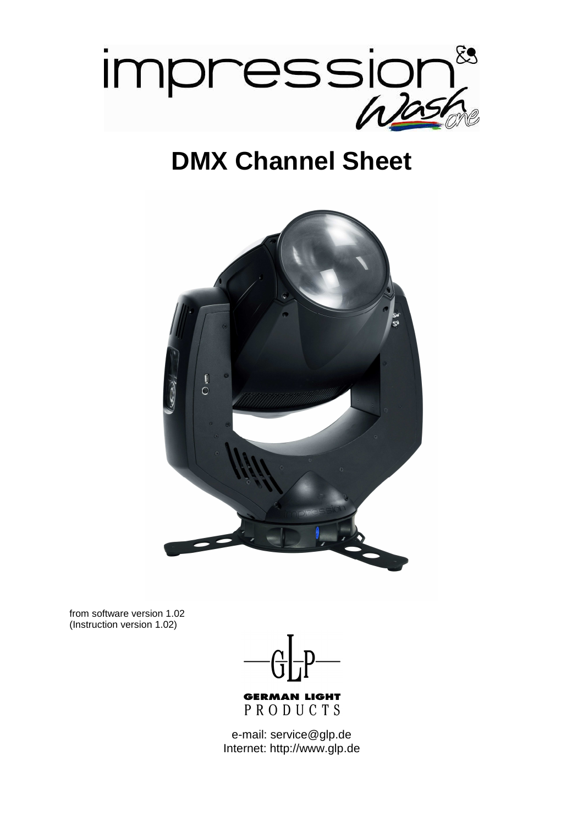

# **DMX Channel Sheet**



from software version 1.02 (Instruction version 1.02)



e-mail: service@glp.de Internet: http://www.glp.de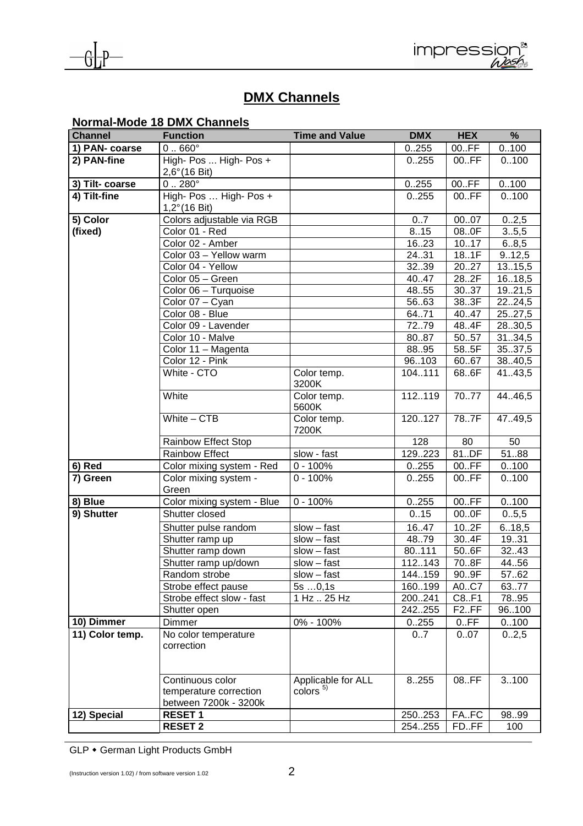



# **DMX Channels**

# **Normal-Mode 18 DMX Channels**

| <b>Channel</b>  | <b>Function</b>                                                     | <b>Time and Value</b>                    | <b>DMX</b> | <b>HEX</b>         | %       |
|-----------------|---------------------------------------------------------------------|------------------------------------------|------------|--------------------|---------|
| 1) PAN- coarse  | $0.660^{\circ}$                                                     |                                          | 0.255      | 00.FF              | 0.100   |
| 2) PAN-fine     | High- Pos  High- Pos +<br>$2,6^{\circ}$ (16 Bit)                    |                                          | 0.255      | 00.FF              | 0.100   |
| 3) Tilt-coarse  | $0.280^\circ$                                                       |                                          | 0.255      | 00.FF              | 0.100   |
| 4) Tilt-fine    | High- Pos  High- Pos +<br>$1,2^{\circ}(16 \text{ Bit})$             |                                          | 0.255      | 00.FF              | 0.100   |
| 5) Color        | Colors adjustable via RGB                                           |                                          | 0.7        | 0007               | 0.2,5   |
| (fixed)         | Color 01 - Red                                                      |                                          | 8.15       | 080F               | 3.5,5   |
|                 | Color 02 - Amber                                                    |                                          | 1623       | 1017               | 6.8,5   |
|                 | Color 03 - Yellow warm                                              |                                          | 24.31      | 18.1F              | 9.12,5  |
|                 | Color 04 - Yellow                                                   |                                          | 3239       | 2027               | 13.15,5 |
|                 | Color 05 - Green                                                    |                                          | 40.47      | 28.2F              | 16.18,5 |
|                 | Color 06 - Turquoise                                                |                                          | 48.55      | 3037               | 1921,5  |
|                 | Color 07 - Cyan                                                     |                                          | 5663       | 383F               | 2224,5  |
|                 | Color 08 - Blue                                                     |                                          | 6471       | 40.47              | 2527,5  |
|                 | Color 09 - Lavender                                                 |                                          | 7279       | 48.4F              | 2830,5  |
|                 | Color 10 - Malve                                                    |                                          | 8087       | 5057               | 31.34,5 |
|                 | Color 11 - Magenta                                                  |                                          | 88.95      | 585F               | 35.37,5 |
|                 | Color 12 - Pink                                                     |                                          | 96103      | 6067               | 38.40,5 |
|                 | White - CTO                                                         | Color temp.<br>3200K                     | 104111     | 68.6F              | 41.43,5 |
|                 | White                                                               | Color temp.<br>5600K                     | 112119     | 7077               | 44.46,5 |
|                 | White $-$ CTB                                                       | Color temp.<br>7200K                     | 120127     | 787F               | 47.49,5 |
|                 | Rainbow Effect Stop                                                 |                                          | 128        | 80                 | 50      |
|                 | <b>Rainbow Effect</b>                                               | slow - fast                              | 129.223    | 81.DF              | 51.88   |
| 6) Red          | Color mixing system - Red                                           | $0 - 100%$                               | 0.255      | 00.FF              | 0.100   |
| 7) Green        | Color mixing system -<br>Green                                      | $\overline{0}$ - 100%                    | 0.255      | 00.FF              | 0.100   |
| 8) Blue         | Color mixing system - Blue                                          | $0 - 100%$                               | 0.255      | 00.FF              | 0.100   |
| 9) Shutter      | Shutter closed                                                      |                                          | 0.15       | 000F               | 0.5,5   |
|                 | Shutter pulse random                                                | $slow - fast$                            | 16.47      | 10.2F              | 6.18,5  |
|                 | Shutter ramp up                                                     | $slow - fast$                            | 4879       | 30.4F              | 19.31   |
|                 | Shutter ramp down                                                   | $slow - fast$                            | 80.111     | 50.6F              | 32.43   |
|                 | Shutter ramp up/down                                                | $slow - fast$                            | 112.143    | 70.8F              | 44.56   |
|                 | Random strobe                                                       | $slow - fast$                            | 144159     | 90.9F              | 5762    |
|                 | Strobe effect pause                                                 | $5s$ $0,1s$                              | 160.199    | A0C7               | 6377    |
|                 | Strobe effect slow - fast                                           | 1 Hz  25 Hz                              | 200241     | C8.F1              | 78.95   |
|                 | Shutter open                                                        |                                          | 242255     | F <sub>2</sub> .FF | 96100   |
| 10) Dimmer      | Dimmer                                                              | 0% - 100%                                | 0.255      | 0.FF               | 0.100   |
| 11) Color temp. | No color temperature<br>correction                                  |                                          | 07         | 0.07               | 02,5    |
|                 | Continuous color<br>temperature correction<br>between 7200k - 3200k | Applicable for ALL<br>color <sub>5</sub> | 8.255      | 08.FF              | 3.100   |
| 12) Special     | <b>RESET1</b>                                                       |                                          | 250253     | FA.FC              | 9899    |
|                 | <b>RESET 2</b>                                                      |                                          | 254.255    | FD.FF              | 100     |

GLP • German Light Products GmbH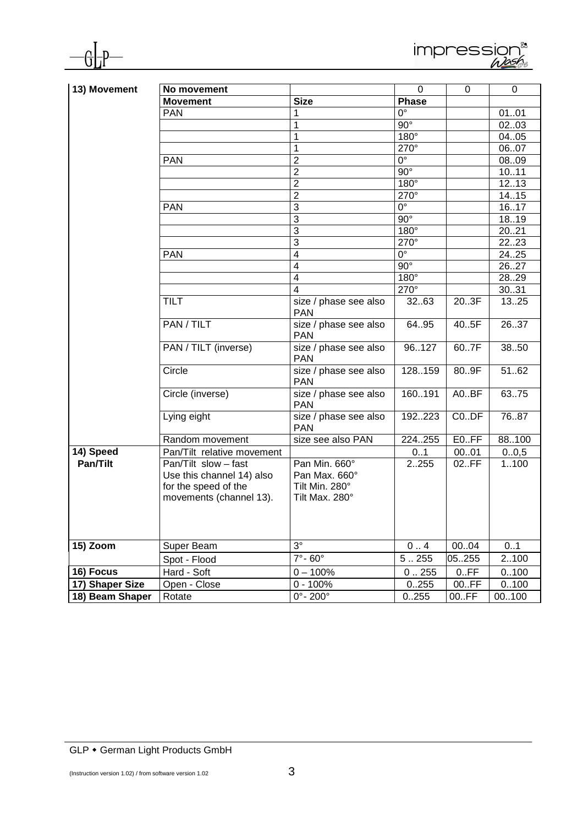



| 13) Movement    | No movement                |                                     | $\mathbf 0$            | 0        | 0                 |
|-----------------|----------------------------|-------------------------------------|------------------------|----------|-------------------|
|                 | <b>Movement</b>            | <b>Size</b>                         | Phase                  |          |                   |
|                 | <b>PAN</b>                 |                                     | $\overline{0^{\circ}}$ |          | 0101              |
|                 |                            | 1                                   | $\overline{90^\circ}$  |          | 0203              |
|                 |                            | 1                                   | $180^\circ$            |          | 04.05             |
|                 |                            | 1                                   | $270^\circ$            |          | 0607              |
|                 | <b>PAN</b>                 | $\overline{2}$                      | $0^{\circ}$            |          | 0809              |
|                 |                            | $\overline{2}$                      | $90^\circ$             |          | 1011              |
|                 |                            | $\overline{2}$                      | $180^\circ$            |          | $\overline{1213}$ |
|                 |                            | $\overline{2}$                      | $270^\circ$            |          | 14.15             |
|                 | <b>PAN</b>                 | 3                                   | $0^{\circ}$            |          | 1617              |
|                 |                            | 3                                   | $90^\circ$             |          | 18.19             |
|                 |                            | 3                                   | $180^\circ$            |          | 2021              |
|                 |                            | 3                                   | $270^\circ$            |          | 2223              |
|                 | <b>PAN</b>                 | $\overline{\mathcal{A}}$            | $0^{\circ}$            |          | 24.25             |
|                 |                            | 4                                   | $90^\circ$             |          | 26.27             |
|                 |                            | 4                                   | $180^\circ$            |          | 2829              |
|                 |                            | 4                                   | $270^\circ$            |          | 30.31             |
|                 | <b>TILT</b>                | size / phase see also<br><b>PAN</b> | 32.63                  | 203F     | 1325              |
|                 | PAN / TILT                 | size / phase see also<br><b>PAN</b> | 64.95                  | 40.5F    | 2637              |
|                 | PAN / TILT (inverse)       | size / phase see also<br><b>PAN</b> | 96127                  | 60.7F    | 3850              |
|                 | Circle                     | size / phase see also<br><b>PAN</b> | 128.159                | 80.9F    | 5162              |
|                 | Circle (inverse)           | size / phase see also<br><b>PAN</b> | 160191                 | A0.BF    | 63.75             |
|                 | Lying eight                | size / phase see also<br><b>PAN</b> | 192223                 | $CO.$ DF | 7687              |
|                 | Random movement            | size see also PAN                   | 224255                 | E0.FF    | 88.100            |
| 14) Speed       | Pan/Tilt relative movement |                                     | 01                     | 0001     | 0.0,5             |
| Pan/Tilt        | Pan/Tilt slow - fast       | Pan Min. 660°                       | 2255                   | 02.FF    | 1100              |
|                 | Use this channel 14) also  | Pan Max. 660°                       |                        |          |                   |
|                 | for the speed of the       | Tilt Min. 280°                      |                        |          |                   |
|                 | movements (channel 13).    | Tilt Max. 280°                      |                        |          |                   |
|                 |                            |                                     |                        |          |                   |
|                 |                            |                                     |                        |          |                   |
|                 |                            |                                     |                        |          |                   |
| 15) Zoom        | Super Beam                 | $3^\circ$                           | 0.4                    | 0004     | 0.1               |
|                 | Spot - Flood               | $7^\circ - 60^\circ$                | 5.255                  | 05255    | 2100              |
| 16) Focus       | Hard - Soft                | $0 - 100%$                          | 0.255                  | 0.FF     | 0.100             |
| 17) Shaper Size | Open - Close               | $0 - 100%$                          | 0.255                  | 00.FF    | 0.100             |
| 18) Beam Shaper | Rotate                     | $0^\circ$ - 200 $^\circ$            | 0.255                  | 00.FF    | 00100             |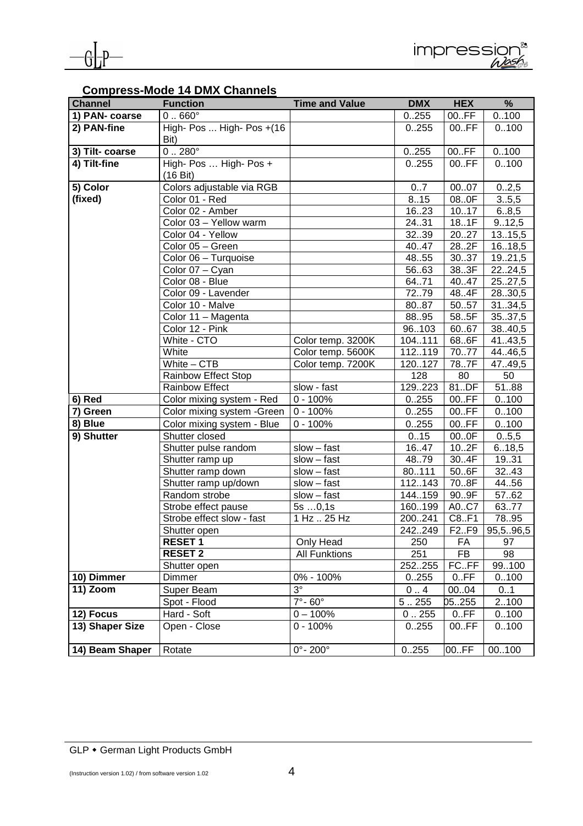

## **Compress-Mode 14 DMX Channels**

| <b>Channel</b>  | <b>Function</b>                              | <b>Time and Value</b>    | <b>DMX</b>   | <b>HEX</b> | %         |
|-----------------|----------------------------------------------|--------------------------|--------------|------------|-----------|
| 1) PAN- coarse  | $0.660^\circ$                                |                          | 0.255        | 00.FF      | 0.100     |
| 2) PAN-fine     | High- Pos  High- Pos +(16<br>Bit)            |                          | 0.255        | 00.FF      | 0.100     |
| 3) Tilt- coarse | $0.280^{\circ}$                              |                          | 0.255        | 00.FF      | 0.100     |
| 4) Tilt-fine    | High- Pos  High- Pos +<br>$(16 \text{ Bit})$ |                          | 0.255        | 00.FF      | 0.100     |
| 5) Color        | Colors adjustable via RGB                    |                          | 07           | 0007       | 02,5      |
| (fixed)         | Color 01 - Red                               |                          | 8.15         | 080F       | 3.5,5     |
|                 | Color 02 - Amber                             |                          | 1623         | 1017       | 6.8,5     |
|                 | Color 03 - Yellow warm                       |                          | 24.31        | 18.1F      | 9.12,5    |
|                 | Color 04 - Yellow                            |                          | 3239         | 2027       | 13.15,5   |
|                 | Color 05 - Green                             |                          | 40.47        | 28.2F      | 16.18,5   |
|                 | Color 06 - Turquoise                         |                          | 48.55        | 30.37      | 1921,5    |
|                 | Color 07 - Cyan                              |                          | 56.63        | 383F       | 2224,5    |
|                 | Color 08 - Blue                              |                          | 64.71        | 40.47      | 25.27,5   |
|                 | Color 09 - Lavender                          |                          | 7279         | 48.4F      | 2830,5    |
|                 | Color 10 - Malve                             |                          | 8087         | 5057       | 3134,5    |
|                 | Color 11 - Magenta                           |                          | 8895         | 585F       | 35.37,5   |
|                 | Color 12 - Pink                              |                          | 96103        | 6067       | 38.40,5   |
|                 | White - CTO                                  | Color temp. 3200K        | 104.111      | 68.6F      | 41.43,5   |
|                 | White                                        | Color temp. 5600K        | 112.119      | 7077       | 44.46,5   |
|                 | White $-$ CTB                                | Color temp. 7200K        | 120127       | 787F       | 47.49,5   |
|                 | <b>Rainbow Effect Stop</b>                   |                          | 128          | 80         | 50        |
|                 | Rainbow Effect                               | slow - fast              | 129223       | 81.DF      | 5188      |
| 6) Red          | Color mixing system - Red                    | $0 - 100%$               | 0.255        | 00.FF      | 0.100     |
| 7) Green        | Color mixing system - Green                  | $0 - 100%$               | 0.255        | 00.FF      | 0.100     |
| 8) Blue         | Color mixing system - Blue                   | $\overline{0}$ - 100%    | 0.255        | 00.FF      | 0.100     |
| 9) Shutter      | Shutter closed                               |                          | 0.15         | 000F       | 0.5,5     |
|                 | Shutter pulse random                         | $slow - fast$            | 1647         | 10.2F      | 6.18,5    |
|                 | Shutter ramp up                              | $slow - fast$            | 4879         | 30.4F      | 19.31     |
|                 | Shutter ramp down                            | $slow - fast$            | 80111        | 50.6F      | 32.43     |
|                 | Shutter ramp up/down                         | $slow - fast$            | 112143       | 70.8F      | 44.56     |
|                 | Random strobe                                | $slow - fast$            | 144.159      | 90.9F      | 57.62     |
|                 | Strobe effect pause                          | $5s$ $0,1s$              | 160199       | A0C7       | 6377      |
|                 | Strobe effect slow - fast                    | 1 Hz  25 Hz              | 200241       | C8.F1      | 78.95     |
|                 | Shutter open                                 |                          | 242249       | F2F9       | 95,5.96,5 |
|                 | <b>RESET1</b>                                | Only Head                | 250          | FA         | 97        |
|                 | <b>RESET 2</b>                               | <b>All Funktions</b>     | 251          | <b>FB</b>  | 98        |
|                 | Shutter open                                 |                          | 252255       | FC.FF      | 99.100    |
| 10) Dimmer      | Dimmer                                       | 0% - 100%                | 0.255        | 0.FF       | 0.100     |
| 11) Zoom        | Super Beam                                   | $3^{\circ}$              | $0 \ldots 4$ | 00.04      | 01        |
|                 | Spot - Flood                                 | $7^\circ$ -60 $^\circ$   | 5.255        | 05255      | 2100      |
| 12) Focus       | Hard - Soft                                  | $0 - 100%$               | 0.255        | 0.FF       | 0100      |
| 13) Shaper Size | Open - Close                                 | $0 - 100%$               | 0.255        | 00.FF      | 0.100     |
| 14) Beam Shaper | Rotate                                       | $0^\circ$ - 200 $^\circ$ | 0.255        | 00.FF      | 00100     |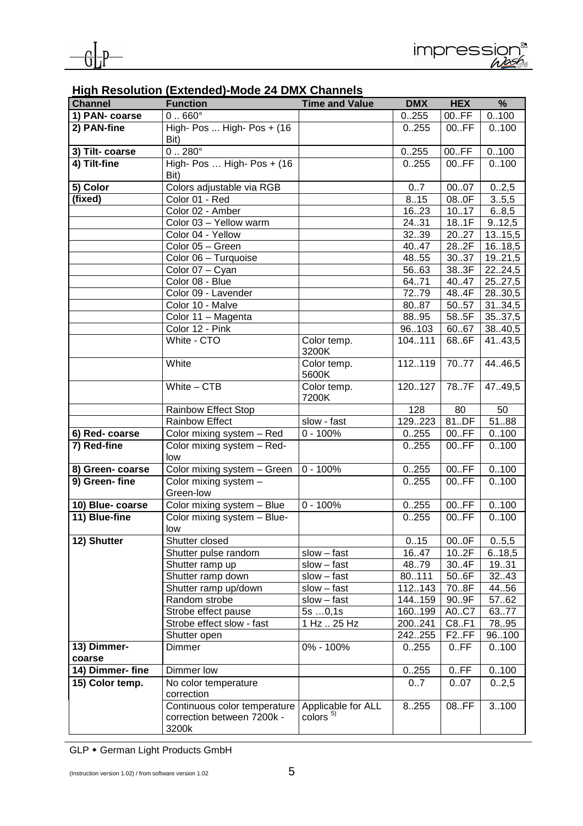| <b>Channel</b>   | <b>Function</b>                                                     | <b>Time and Value</b>                              | <b>DMX</b>      | <b>HEX</b>         | %                |
|------------------|---------------------------------------------------------------------|----------------------------------------------------|-----------------|--------------------|------------------|
| 1) PAN- coarse   | $0 \dots 660^\circ$                                                 |                                                    | 0.255           | 00.FF              | 0.100            |
| 2) PAN-fine      | High- $Pos$ High- $Pos$ + (16)                                      |                                                    | 0.255           | 00.FF              | 0.100            |
|                  | Bit)                                                                |                                                    |                 |                    |                  |
| 3) Tilt- coarse  | $0.280^{\circ}$                                                     |                                                    | 0.255           | 00.FF              | 0.100            |
| 4) Tilt-fine     | High- Pos  High- Pos + (16                                          |                                                    | 0.255           | 00.FF              | 0.100            |
|                  | Bit)                                                                |                                                    |                 |                    |                  |
| 5) Color         | Colors adjustable via RGB                                           |                                                    | 07              | 0007               | 0.2,5            |
| (fixed)          | Color 01 - Red                                                      |                                                    | 8.15            | 08.0F              | 3.5,5            |
|                  | Color 02 - Amber                                                    |                                                    | 16.23           | 1017               | 6.8,5            |
|                  | Color 03 - Yellow warm                                              |                                                    | 24.31           | $\overline{181}$ F | 9.12,5           |
|                  | Color 04 - Yellow                                                   |                                                    | 3239            | 2027               | 13.15,5          |
|                  | Color 05 - Green                                                    |                                                    | 40.47           | 28.2F              | 16.18,5          |
|                  | Color 06 - Turquoise                                                |                                                    | 48.55           | 30.37              | 19.21,5          |
|                  | Color 07 - Cyan                                                     |                                                    | 5663            | 383F               | 2224,5           |
|                  | Color 08 - Blue                                                     |                                                    | 64.71           | 40.47              | 25.27,5          |
|                  | Color 09 - Lavender<br>Color 10 - Malve                             |                                                    | 7279<br>8087    | 48.4F<br>5057      | 2830,5<br>3134,5 |
|                  | Color 11 - Magenta                                                  |                                                    | 88.95           | 58.5F              | 3537,5           |
|                  | Color 12 - Pink                                                     |                                                    | 96103           | 60.67              | 38.40,5          |
|                  | White - CTO                                                         | Color temp.                                        | 104.111         | 68.6F              | 41.43,5          |
|                  |                                                                     | 3200K                                              |                 |                    |                  |
|                  | White                                                               | Color temp.<br>5600K                               | 112119          | 7077               | 44.46,5          |
|                  | White $-$ CTB                                                       | Color temp.<br>7200K                               | 120127          | 787F               | 47.49,5          |
|                  | Rainbow Effect Stop                                                 |                                                    | 128             | 80                 | 50               |
|                  | <b>Rainbow Effect</b>                                               | slow - fast                                        | 129223          | 81.DF              | 5188             |
| 6) Red-coarse    | Color mixing system - Red                                           | $0 - 100%$                                         | 0.255           | 00.FF              | 0.100            |
| 7) Red-fine      | Color mixing system - Red-<br>low                                   |                                                    | 0.255           | 00.FF              | 0.100            |
| 8) Green- coarse | Color mixing system - Green                                         | $0 - 100%$                                         | 0.255           | 00.FF              | 0.100            |
| 9) Green-fine    | Color mixing system -                                               |                                                    | 0.255           | 00.FF              | 0.100            |
|                  | Green-low                                                           |                                                    |                 |                    |                  |
| 10) Blue- coarse | Color mixing system - Blue                                          | $0 - 100%$                                         | 0.255           | 00.FF              | 0.100            |
| 11) Blue-fine    | Color mixing system - Blue-                                         |                                                    | 0.255           | 00.FF              | 0.100            |
|                  | low                                                                 |                                                    |                 |                    |                  |
| 12) Shutter      | Shutter closed                                                      |                                                    | 0.15            | 000F               | 0.5,5            |
|                  | Shutter pulse random                                                | $slow - fast$                                      | 16.47           | 10.2F              | 6.18,5           |
|                  | Shutter ramp up<br>Shutter ramp down                                | $slow - fast$                                      | 48.79           | 30.4F<br>50.6F     | 19.31            |
|                  |                                                                     | $slow - fast$                                      | 80111<br>112143 | 70.8F              | 32.43<br>44.56   |
|                  | Shutter ramp up/down<br>Random strobe                               | $slow - fast$<br>$slow - fast$                     | 144.159         | 90.9F              | 57.62            |
|                  | Strobe effect pause                                                 | 5s0,1s                                             | 160.199         | A0C7               | 6377             |
|                  | Strobe effect slow - fast                                           | 1 Hz  25 Hz                                        | 200241          | C8.F1              | 78.95            |
|                  | Shutter open                                                        |                                                    | 242255          | F <sub>2</sub> .FF | 96100            |
| 13) Dimmer-      | <b>Dimmer</b>                                                       | 0% - 100%                                          | 0.255           | 0.FF               | 0.100            |
| coarse           |                                                                     |                                                    |                 |                    |                  |
| 14) Dimmer- fine | Dimmer low                                                          |                                                    | 0.255           | 0.FF               | 0.100            |
| 15) Color temp.  | No color temperature<br>correction                                  |                                                    | 07              | 0.07               | 02,5             |
|                  | Continuous color temperature<br>correction between 7200k -<br>3200k | Applicable for ALL<br>$\frac{1}{2}$ colors $^{5)}$ | 8.255           | 08.FF              | 3100             |

## **High Resolution (Extended)-Mode 24 DMX Channels**

GLP • German Light Products GmbH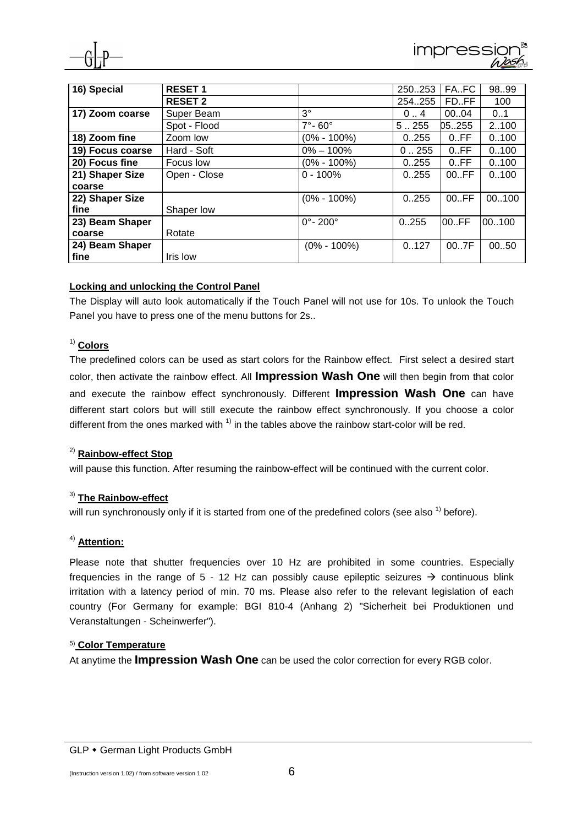

| 16) Special      | <b>RESET 1</b> |                              | 250253  | FA.FC | 9899  |
|------------------|----------------|------------------------------|---------|-------|-------|
|                  | <b>RESET 2</b> |                              | 254.255 | FD.FF | 100   |
| 17) Zoom coarse  | Super Beam     | $3^{\circ}$                  | 04      | 0004  | 0.1   |
|                  | Spot - Flood   | $7^\circ$ - 60 $^\circ$      | 5.255   | 05255 | 2100  |
| 18) Zoom fine    | Zoom low       | $(0\% - 100\%)$              | 0.255   | 0.FF  | 0.100 |
| 19) Focus coarse | Hard - Soft    | $0\% - 100\%$                | 0.255   | 0.FF  | 0.100 |
| 20) Focus fine   | Focus low      | $(0\% - 100\%)$              | 0.255   | 0.FF  | 0.100 |
| 21) Shaper Size  | Open - Close   | $0 - 100%$                   | 0.255   | 00.FF | 0.100 |
| coarse           |                |                              |         |       |       |
| 22) Shaper Size  |                | $(0\% - 100\%)$              | 0.255   | 00.FF | 00100 |
| fine             | Shaper low     |                              |         |       |       |
| 23) Beam Shaper  |                | $0^{\circ}$ - 200 $^{\circ}$ | 0.255   | 00.FF | 00100 |
| coarse           | Rotate         |                              |         |       |       |
| 24) Beam Shaper  |                | $(0\% - 100\%)$              | 0.127   | 007F  | 0050  |
| fine             | Iris low       |                              |         |       |       |

#### **Locking and unlocking the Control Panel**

The Display will auto look automatically if the Touch Panel will not use for 10s. To unlook the Touch Panel you have to press one of the menu buttons for 2s..

#### 1) **Colors**

The predefined colors can be used as start colors for the Rainbow effect. First select a desired start color, then activate the rainbow effect. All **Impression Wash One** will then begin from that color and execute the rainbow effect synchronously. Different **Impression Wash One** can have different start colors but will still execute the rainbow effect synchronously. If you choose a color different from the ones marked with  $<sup>1</sup>$  in the tables above the rainbow start-color will be red.</sup>

#### 2) **Rainbow-effect Stop**

will pause this function. After resuming the rainbow-effect will be continued with the current color.

#### 3) **The Rainbow-effect**

will run synchronously only if it is started from one of the predefined colors (see also  $<sup>1</sup>$ ) before).</sup>

#### 4) **Attention:**

Please note that shutter frequencies over 10 Hz are prohibited in some countries. Especially frequencies in the range of 5 - 12 Hz can possibly cause epileptic seizures  $\rightarrow$  continuous blink irritation with a latency period of min. 70 ms. Please also refer to the relevant legislation of each country (For Germany for example: BGI 810-4 (Anhang 2) "Sicherheit bei Produktionen und Veranstaltungen - Scheinwerfer").

#### 5) **Color Temperature**

At anytime the **Impression Wash One** can be used the color correction for every RGB color.